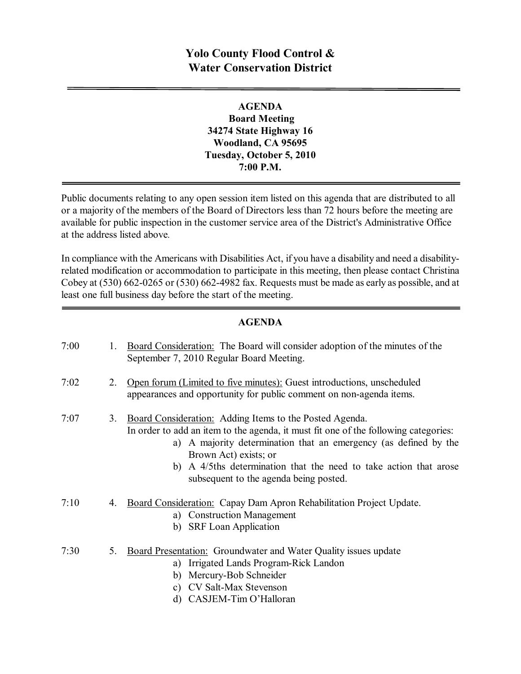# **Yolo County Flood Control & Water Conservation District**

### **AGENDA Board Meeting 34274 State Highway 16 Woodland, CA 95695 Tuesday, October 5, 2010 7:00 P.M.**

Public documents relating to any open session item listed on this agenda that are distributed to all or a majority of the members of the Board of Directors less than 72 hours before the meeting are available for public inspection in the customer service area of the District's Administrative Office at the address listed above*.*

In compliance with the Americans with Disabilities Act, if you have a disability and need a disabilityrelated modification or accommodation to participate in this meeting, then please contact Christina Cobey at  $(530)$  662-0265 or  $(530)$  662-4982 fax. Requests must be made as early as possible, and at least one full business day before the start of the meeting.

#### **AGENDA**

| 7:00 | 1. | <b>Board Consideration:</b> The Board will consider adoption of the minutes of the<br>September 7, 2010 Regular Board Meeting.                                                                                                                                                                                                                                |
|------|----|---------------------------------------------------------------------------------------------------------------------------------------------------------------------------------------------------------------------------------------------------------------------------------------------------------------------------------------------------------------|
| 7:02 | 2. | Open forum (Limited to five minutes): Guest introductions, unscheduled<br>appearances and opportunity for public comment on non-agenda items.                                                                                                                                                                                                                 |
| 7:07 | 3. | Board Consideration: Adding Items to the Posted Agenda.<br>In order to add an item to the agenda, it must fit one of the following categories:<br>a) A majority determination that an emergency (as defined by the<br>Brown Act) exists; or<br>A 4/5ths determination that the need to take action that arose<br>b)<br>subsequent to the agenda being posted. |
| 7:10 | 4. | Board Consideration: Capay Dam Apron Rehabilitation Project Update.<br>a) Construction Management<br>b) SRF Loan Application                                                                                                                                                                                                                                  |
| 7:30 | 5. | <b>Board Presentation:</b> Groundwater and Water Quality issues update<br>Irrigated Lands Program-Rick Landon<br>a)<br>b) Mercury-Bob Schneider<br>c) CV Salt-Max Stevenson<br>d) CASJEM-Tim O'Halloran                                                                                                                                                       |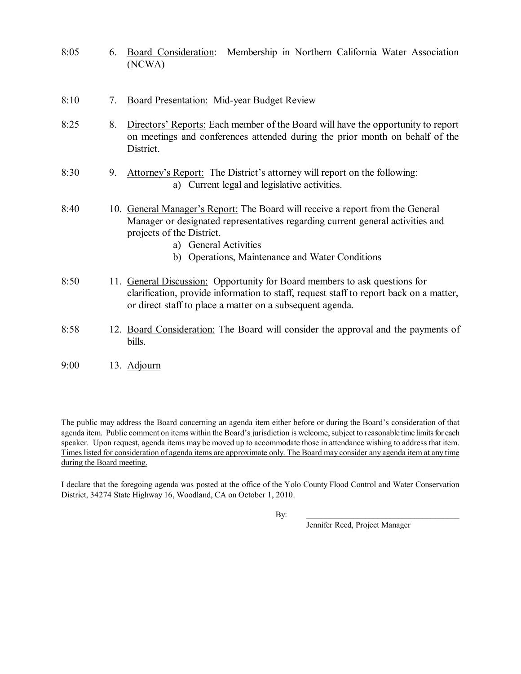| 8:05 | 6. | Board Consideration:<br>Membership in Northern California Water Association<br>(NCWA)                                                                                                                                                                                     |
|------|----|---------------------------------------------------------------------------------------------------------------------------------------------------------------------------------------------------------------------------------------------------------------------------|
| 8:10 | 7. | <b>Board Presentation:</b> Mid-year Budget Review                                                                                                                                                                                                                         |
| 8:25 | 8. | Directors' Reports: Each member of the Board will have the opportunity to report<br>on meetings and conferences attended during the prior month on behalf of the<br>District.                                                                                             |
| 8:30 | 9. | Attorney's Report: The District's attorney will report on the following:<br>a) Current legal and legislative activities.                                                                                                                                                  |
| 8:40 |    | 10. General Manager's Report: The Board will receive a report from the General<br>Manager or designated representatives regarding current general activities and<br>projects of the District.<br>a) General Activities<br>b) Operations, Maintenance and Water Conditions |
| 8:50 |    | 11. General Discussion: Opportunity for Board members to ask questions for<br>clarification, provide information to staff, request staff to report back on a matter,<br>or direct staff to place a matter on a subsequent agenda.                                         |
| 8:58 |    | 12. Board Consideration: The Board will consider the approval and the payments of<br>bills.                                                                                                                                                                               |
| 9:00 |    | 13. Adjourn                                                                                                                                                                                                                                                               |

The public may address the Board concerning an agenda item either before or during the Board's consideration of that agenda item. Public comment on items within the Board's jurisdiction is welcome, subject to reasonable time limits for each speaker. Upon request, agenda items may be moved up to accommodate those in attendance wishing to address that item. Times listed for consideration of agenda items are approximate only. The Board may consider any agenda item at any time during the Board meeting.

I declare that the foregoing agenda was posted at the office of the Yolo County Flood Control and Water Conservation District, 34274 State Highway 16, Woodland, CA on October 1, 2010.

By:  $\Box$ 

Jennifer Reed, Project Manager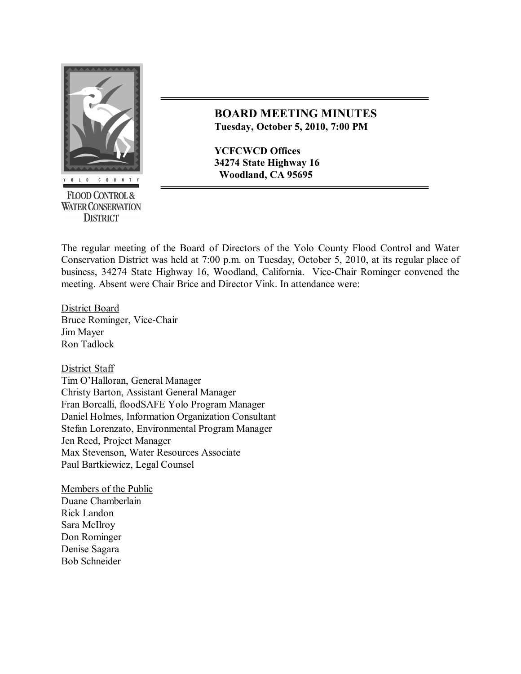

**FLOOD CONTROL & WATER CONSERVATION DISTRICT** 

# **BOARD MEETING MINUTES Tuesday, October 5, 2010, 7:00 PM**

**YCFCWCD Offices 34274 State Highway 16 Woodland, CA 95695**

The regular meeting of the Board of Directors of the Yolo County Flood Control and Water Conservation District was held at 7:00 p.m. on Tuesday, October 5, 2010, at its regular place of business, 34274 State Highway 16, Woodland, California. Vice-Chair Rominger convened the meeting. Absent were Chair Brice and Director Vink. In attendance were:

District Board Bruce Rominger, Vice-Chair Jim Mayer Ron Tadlock

District Staff Tim O'Halloran, General Manager Christy Barton, Assistant General Manager Fran Borcalli, floodSAFE Yolo Program Manager Daniel Holmes, Information Organization Consultant Stefan Lorenzato, Environmental Program Manager Jen Reed, Project Manager Max Stevenson, Water Resources Associate Paul Bartkiewicz, Legal Counsel

Members of the Public Duane Chamberlain Rick Landon Sara McIlroy Don Rominger Denise Sagara Bob Schneider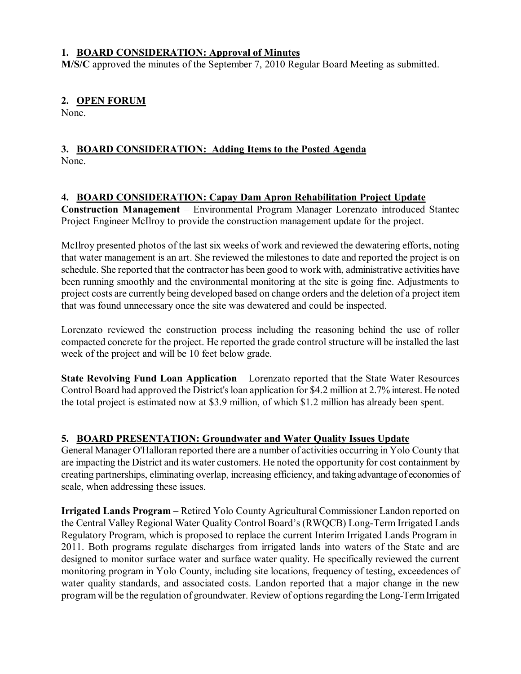#### **1. BOARD CONSIDERATION: Approval of Minutes**

**M/S/C** approved the minutes of the September 7, 2010 Regular Board Meeting as submitted.

# **2. OPEN FORUM**

None.

#### **3. BOARD CONSIDERATION: Adding Items to the Posted Agenda** None.

### **4. BOARD CONSIDERATION: Capay Dam Apron Rehabilitation Project Update**

**Construction Management** – Environmental Program Manager Lorenzato introduced Stantec Project Engineer McIlroy to provide the construction management update for the project.

McIlroy presented photos of the last six weeks of work and reviewed the dewatering efforts, noting that water management is an art. She reviewed the milestones to date and reported the project is on schedule. She reported that the contractor has been good to work with, administrative activities have been running smoothly and the environmental monitoring at the site is going fine. Adjustments to project costs are currently being developed based on change orders and the deletion of a project item that was found unnecessary once the site was dewatered and could be inspected.

Lorenzato reviewed the construction process including the reasoning behind the use of roller compacted concrete for the project. He reported the grade controlstructure will be installed the last week of the project and will be 10 feet below grade.

**State Revolving Fund Loan Application** – Lorenzato reported that the State Water Resources Control Board had approved the District's loan application for \$4.2 million at 2.7% interest. He noted the total project is estimated now at \$3.9 million, of which \$1.2 million has already been spent.

# **5. BOARD PRESENTATION: Groundwater and Water Quality Issues Update**

General Manager O'Halloran reported there are a number of activities occurring in Yolo County that are impacting the District and its water customers. He noted the opportunity for cost containment by creating partnerships, eliminating overlap, increasing efficiency, and taking advantage of economies of scale, when addressing these issues.

**Irrigated Lands Program** – Retired Yolo County Agricultural Commissioner Landon reported on the Central Valley Regional Water Quality Control Board's (RWQCB) Long-Term Irrigated Lands Regulatory Program, which is proposed to replace the current Interim Irrigated Lands Program in 2011. Both programs regulate discharges from irrigated lands into waters of the State and are designed to monitor surface water and surface water quality. He specifically reviewed the current monitoring program in Yolo County, including site locations, frequency of testing, exceedences of water quality standards, and associated costs. Landon reported that a major change in the new program will be the regulation of groundwater. Review of options regarding the Long-Term Irrigated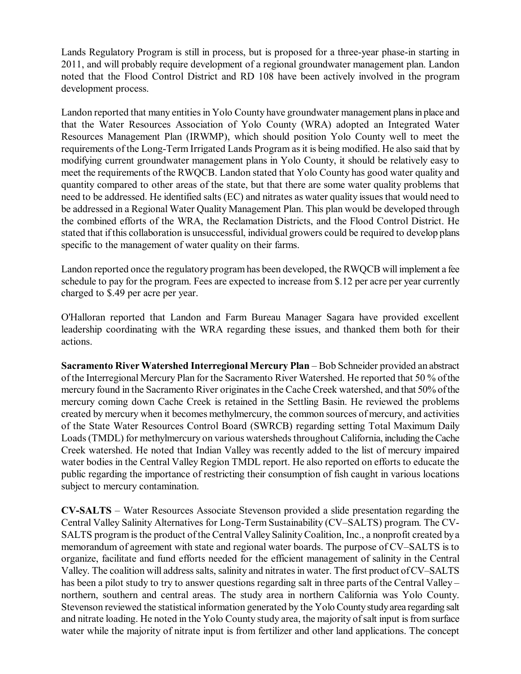Lands Regulatory Program is still in process, but is proposed for a three-year phase-in starting in 2011, and will probably require development of a regional groundwater management plan. Landon noted that the Flood Control District and RD 108 have been actively involved in the program development process.

Landon reported that many entities in Yolo County have groundwater management plans in place and that the Water Resources Association of Yolo County (WRA) adopted an Integrated Water Resources Management Plan (IRWMP), which should position Yolo County well to meet the requirements of the Long-Term Irrigated Lands Program as it is being modified. He also said that by modifying current groundwater management plans in Yolo County, it should be relatively easy to meet the requirements of the RWQCB. Landon stated that Yolo County has good water quality and quantity compared to other areas of the state, but that there are some water quality problems that need to be addressed. He identified salts (EC) and nitrates as water quality issues that would need to be addressed in a Regional Water Quality Management Plan. This plan would be developed through the combined efforts of the WRA, the Reclamation Districts, and the Flood Control District. He stated that if this collaboration is unsuccessful, individual growers could be required to develop plans specific to the management of water quality on their farms.

Landon reported once the regulatory program has been developed, the RWQCB will implement a fee schedule to pay for the program. Fees are expected to increase from \$.12 per acre per year currently charged to \$.49 per acre per year.

O'Halloran reported that Landon and Farm Bureau Manager Sagara have provided excellent leadership coordinating with the WRA regarding these issues, and thanked them both for their actions.

**Sacramento River Watershed Interregional Mercury Plan** – Bob Schneider provided an abstract of the Interregional Mercury Plan for the Sacramento River Watershed. He reported that 50 % ofthe mercury found in the Sacramento River originatesin the Cache Creek watershed, and that 50% ofthe mercury coming down Cache Creek is retained in the Settling Basin. He reviewed the problems created by mercury when it becomes methylmercury, the common sources of mercury, and activities of the State Water Resources Control Board (SWRCB) regarding setting Total Maximum Daily Loads (TMDL) for methylmercury on various watersheds throughout California, including the Cache Creek watershed. He noted that Indian Valley was recently added to the list of mercury impaired water bodies in the Central Valley Region TMDL report. He also reported on efforts to educate the public regarding the importance of restricting their consumption of fish caught in various locations subject to mercury contamination.

**CV-SALTS** – Water Resources Associate Stevenson provided a slide presentation regarding the Central Valley Salinity Alternatives for Long-Term Sustainability (CV–SALTS) program. The CV-SALTS program isthe product of the Central Valley SalinityCoalition, Inc., a nonprofit created bya memorandum of agreement with state and regional water boards. The purpose of CV–SALTS is to organize, facilitate and fund efforts needed for the efficient management of salinity in the Central Valley. The coalition will address salts, salinity and nitrates in water. The first product of CV–SALTS has been a pilot study to try to answer questions regarding salt in three parts of the Central Valley – northern, southern and central areas. The study area in northern California was Yolo County. Stevenson reviewed the statistical information generated by the Yolo Countystudyarea regarding salt and nitrate loading. He noted in the Yolo County study area, the majority of salt input is from surface water while the majority of nitrate input is from fertilizer and other land applications. The concept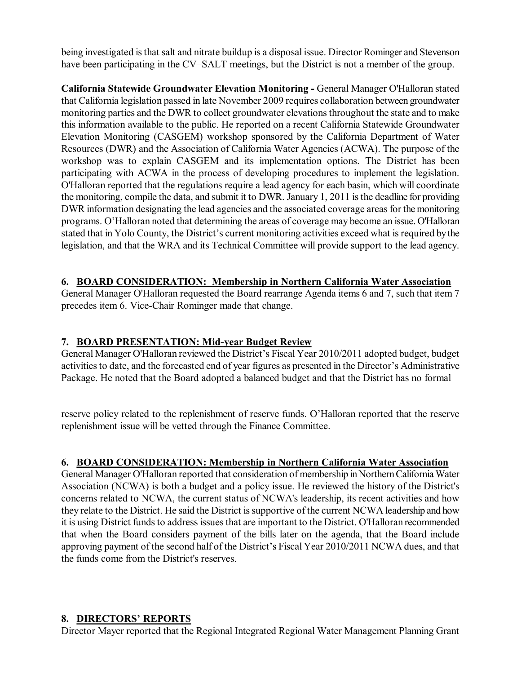being investigated isthat salt and nitrate buildup is a disposal issue. Director Rominger and Stevenson have been participating in the CV–SALT meetings, but the District is not a member of the group.

**California Statewide Groundwater Elevation Monitoring - General Manager O'Halloran stated** that California legislation passed in late November 2009 requires collaboration between groundwater monitoring parties and the DWR to collect groundwater elevationsthroughout the state and to make this information available to the public. He reported on a recent California Statewide Groundwater Elevation Monitoring (CASGEM) workshop sponsored by the California Department of Water Resources (DWR) and the Association of California Water Agencies (ACWA). The purpose of the workshop was to explain CASGEM and its implementation options. The District has been participating with ACWA in the process of developing procedures to implement the legislation. O'Halloran reported that the regulations require a lead agency for each basin, which will coordinate the monitoring, compile the data, and submit it to DWR. January 1, 2011 isthe deadline for providing DWR information designating the lead agencies and the associated coverage areas for the monitoring programs. O'Halloran noted that determining the areas of coverage may become an issue. O'Halloran stated that in Yolo County, the District's current monitoring activities exceed what is required by the legislation, and that the WRA and its Technical Committee will provide support to the lead agency.

### **6. BOARD CONSIDERATION: Membership in Northern California Water Association**

General Manager O'Halloran requested the Board rearrange Agenda items 6 and 7, such that item 7 precedes item 6. Vice-Chair Rominger made that change.

#### **7. BOARD PRESENTATION: Midyear Budget Review**

General Manager O'Halloran reviewed the District's Fiscal Year 2010/2011 adopted budget, budget activitiesto date, and the forecasted end of year figures as presented in the Director's Administrative Package. He noted that the Board adopted a balanced budget and that the District has no formal

reserve policy related to the replenishment of reserve funds. O'Halloran reported that the reserve replenishment issue will be vetted through the Finance Committee.

#### **6. BOARD CONSIDERATION: Membership in Northern California Water Association**

General Manager O'Halloran reported that consideration of membership in Northern California Water Association (NCWA) is both a budget and a policy issue. He reviewed the history of the District's concerns related to NCWA, the current status of NCWA's leadership, its recent activities and how they relate to the District. He said the District is supportive of the current NCWA leadership and how it is using District funds to address issues that are important to the District. O'Halloran recommended that when the Board considers payment of the bills later on the agenda, that the Board include approving payment of the second half of the District's Fiscal Year 2010/2011 NCWA dues, and that the funds come from the District's reserves.

#### **8. DIRECTORS' REPORTS**

Director Mayer reported that the Regional Integrated Regional Water Management Planning Grant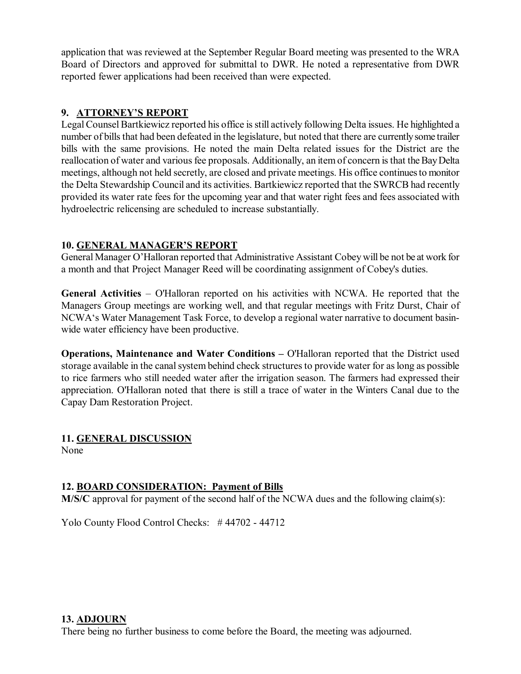application that was reviewed at the September Regular Board meeting was presented to the WRA Board of Directors and approved for submittal to DWR. He noted a representative from DWR reported fewer applications had been received than were expected.

## **9. ATTORNEY'S REPORT**

Legal Counsel Bartkiewicz reported his office is still actively following Delta issues. He highlighted a number of bills that had been defeated in the legislature, but noted that there are currently some trailer bills with the same provisions. He noted the main Delta related issues for the District are the reallocation of water and various fee proposals. Additionally, an item of concern is that the Bay Delta meetings, although not held secretly, are closed and private meetings. His office continuesto monitor the Delta Stewardship Council and its activities. Bartkiewicz reported that the SWRCB had recently provided its water rate fees for the upcoming year and that water right fees and fees associated with hydroelectric relicensing are scheduled to increase substantially.

### **10. GENERAL MANAGER'S REPORT**

General Manager O'Halloran reported that Administrative Assistant Cobey will be not be at work for a month and that Project Manager Reed will be coordinating assignment of Cobey's duties.

**General Activities** – O'Halloran reported on his activities with NCWA. He reported that the Managers Group meetings are working well, and that regular meetings with Fritz Durst, Chair of NCWA's Water Management Task Force, to develop a regional water narrative to document basin wide water efficiency have been productive.

**Operations, Maintenance and Water Conditions –** O'Halloran reported that the District used storage available in the canal system behind check structures to provide water for as long as possible to rice farmers who still needed water after the irrigation season. The farmers had expressed their appreciation. O'Halloran noted that there is still a trace of water in the Winters Canal due to the Capay Dam Restoration Project.

# **11. GENERAL DISCUSSION**

None

# **12. BOARD CONSIDERATION: Payment of Bills**

**M/S/C** approval for payment of the second half of the NCWA dues and the following claim(s):

Yolo County Flood Control Checks: #44702 - 44712

#### **13. ADJOURN**

There being no further business to come before the Board, the meeting was adjourned.